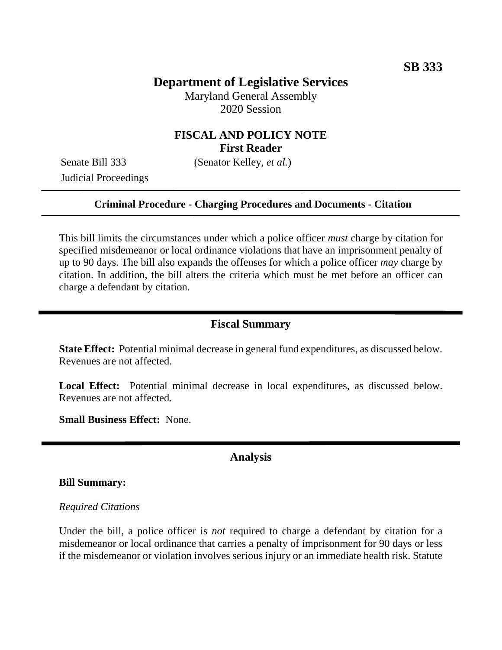# **Department of Legislative Services**

Maryland General Assembly 2020 Session

## **FISCAL AND POLICY NOTE First Reader**

Judicial Proceedings

Senate Bill 333 (Senator Kelley, *et al.*)

#### **Criminal Procedure - Charging Procedures and Documents - Citation**

This bill limits the circumstances under which a police officer *must* charge by citation for specified misdemeanor or local ordinance violations that have an imprisonment penalty of up to 90 days. The bill also expands the offenses for which a police officer *may* charge by citation. In addition, the bill alters the criteria which must be met before an officer can charge a defendant by citation.

### **Fiscal Summary**

**State Effect:** Potential minimal decrease in general fund expenditures, as discussed below. Revenues are not affected.

**Local Effect:** Potential minimal decrease in local expenditures, as discussed below. Revenues are not affected.

**Small Business Effect:** None.

### **Analysis**

#### **Bill Summary:**

#### *Required Citations*

Under the bill, a police officer is *not* required to charge a defendant by citation for a misdemeanor or local ordinance that carries a penalty of imprisonment for 90 days or less if the misdemeanor or violation involves serious injury or an immediate health risk. Statute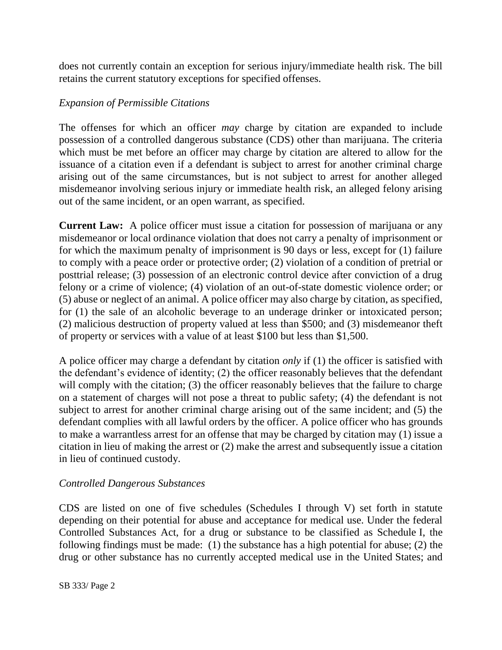does not currently contain an exception for serious injury/immediate health risk. The bill retains the current statutory exceptions for specified offenses.

## *Expansion of Permissible Citations*

The offenses for which an officer *may* charge by citation are expanded to include possession of a controlled dangerous substance (CDS) other than marijuana. The criteria which must be met before an officer may charge by citation are altered to allow for the issuance of a citation even if a defendant is subject to arrest for another criminal charge arising out of the same circumstances, but is not subject to arrest for another alleged misdemeanor involving serious injury or immediate health risk, an alleged felony arising out of the same incident, or an open warrant, as specified.

**Current Law:** A police officer must issue a citation for possession of marijuana or any misdemeanor or local ordinance violation that does not carry a penalty of imprisonment or for which the maximum penalty of imprisonment is 90 days or less, except for (1) failure to comply with a peace order or protective order; (2) violation of a condition of pretrial or posttrial release; (3) possession of an electronic control device after conviction of a drug felony or a crime of violence; (4) violation of an out-of-state domestic violence order; or (5) abuse or neglect of an animal. A police officer may also charge by citation, as specified, for (1) the sale of an alcoholic beverage to an underage drinker or intoxicated person; (2) malicious destruction of property valued at less than \$500; and (3) misdemeanor theft of property or services with a value of at least \$100 but less than \$1,500.

A police officer may charge a defendant by citation *only* if (1) the officer is satisfied with the defendant's evidence of identity; (2) the officer reasonably believes that the defendant will comply with the citation; (3) the officer reasonably believes that the failure to charge on a statement of charges will not pose a threat to public safety; (4) the defendant is not subject to arrest for another criminal charge arising out of the same incident; and (5) the defendant complies with all lawful orders by the officer. A police officer who has grounds to make a warrantless arrest for an offense that may be charged by citation may (1) issue a citation in lieu of making the arrest or (2) make the arrest and subsequently issue a citation in lieu of continued custody.

## *Controlled Dangerous Substances*

CDS are listed on one of five schedules (Schedules I through V) set forth in statute depending on their potential for abuse and acceptance for medical use. Under the federal Controlled Substances Act, for a drug or substance to be classified as Schedule I, the following findings must be made: (1) the substance has a high potential for abuse; (2) the drug or other substance has no currently accepted medical use in the United States; and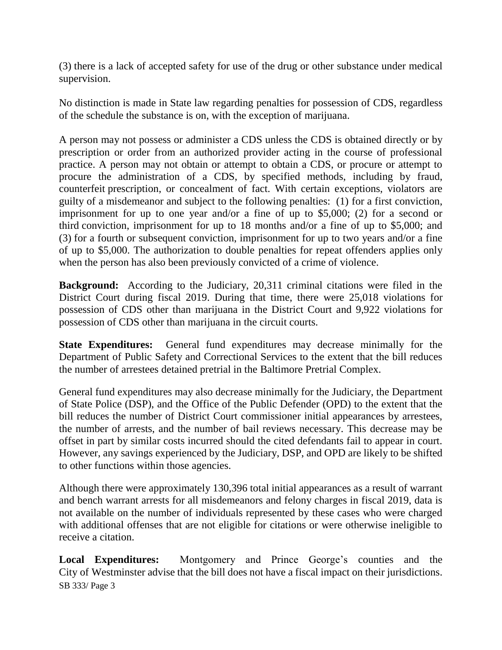(3) there is a lack of accepted safety for use of the drug or other substance under medical supervision.

No distinction is made in State law regarding penalties for possession of CDS, regardless of the schedule the substance is on, with the exception of marijuana.

A person may not possess or administer a CDS unless the CDS is obtained directly or by prescription or order from an authorized provider acting in the course of professional practice. A person may not obtain or attempt to obtain a CDS, or procure or attempt to procure the administration of a CDS, by specified methods, including by fraud, counterfeit prescription, or concealment of fact. With certain exceptions, violators are guilty of a misdemeanor and subject to the following penalties: (1) for a first conviction, imprisonment for up to one year and/or a fine of up to \$5,000; (2) for a second or third conviction, imprisonment for up to 18 months and/or a fine of up to \$5,000; and (3) for a fourth or subsequent conviction, imprisonment for up to two years and/or a fine of up to \$5,000. The authorization to double penalties for repeat offenders applies only when the person has also been previously convicted of a crime of violence.

**Background:** According to the Judiciary, 20,311 criminal citations were filed in the District Court during fiscal 2019. During that time, there were 25,018 violations for possession of CDS other than marijuana in the District Court and 9,922 violations for possession of CDS other than marijuana in the circuit courts.

**State Expenditures:** General fund expenditures may decrease minimally for the Department of Public Safety and Correctional Services to the extent that the bill reduces the number of arrestees detained pretrial in the Baltimore Pretrial Complex.

General fund expenditures may also decrease minimally for the Judiciary, the Department of State Police (DSP), and the Office of the Public Defender (OPD) to the extent that the bill reduces the number of District Court commissioner initial appearances by arrestees, the number of arrests, and the number of bail reviews necessary. This decrease may be offset in part by similar costs incurred should the cited defendants fail to appear in court. However, any savings experienced by the Judiciary, DSP, and OPD are likely to be shifted to other functions within those agencies.

Although there were approximately 130,396 total initial appearances as a result of warrant and bench warrant arrests for all misdemeanors and felony charges in fiscal 2019, data is not available on the number of individuals represented by these cases who were charged with additional offenses that are not eligible for citations or were otherwise ineligible to receive a citation.

SB 333/ Page 3 **Local Expenditures:** Montgomery and Prince George's counties and the City of Westminster advise that the bill does not have a fiscal impact on their jurisdictions.